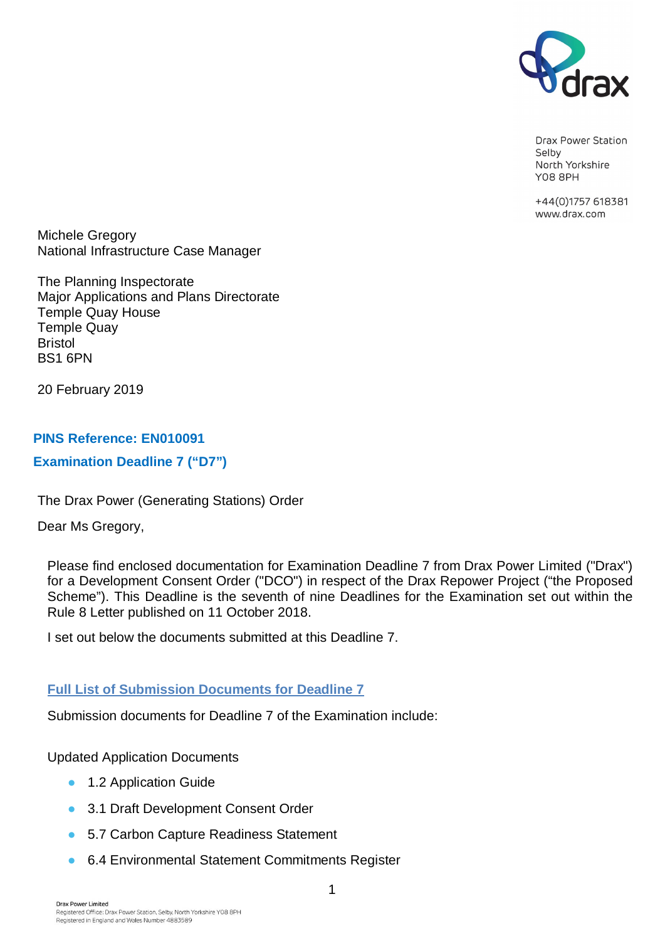

Drax Power Station Selby North Yorkshire **Y08 8PH** 

+44(0)1757 618381 www.drax.com

Michele Gregory National Infrastructure Case Manager

The Planning Inspectorate Major Applications and Plans Directorate Temple Quay House Temple Quay Bristol BS1 6PN

20 February 2019

### **PINS Reference: EN010091**

### **Examination Deadline 7 ("D7")**

The Drax Power (Generating Stations) Order

Dear Ms Gregory,

Please find enclosed documentation for Examination Deadline 7 from Drax Power Limited ("Drax") for a Development Consent Order ("DCO") in respect of the Drax Repower Project ("the Proposed Scheme"). This Deadline is the seventh of nine Deadlines for the Examination set out within the Rule 8 Letter published on 11 October 2018.

I set out below the documents submitted at this Deadline 7.

# **Full List of Submission Documents for Deadline 7**

Submission documents for Deadline 7 of the Examination include:

Updated Application Documents

- **1.2 Application Guide**
- **3.1 Draft Development Consent Order**
- **5.7 Carbon Capture Readiness Statement**
- **6.4 Environmental Statement Commitments Register**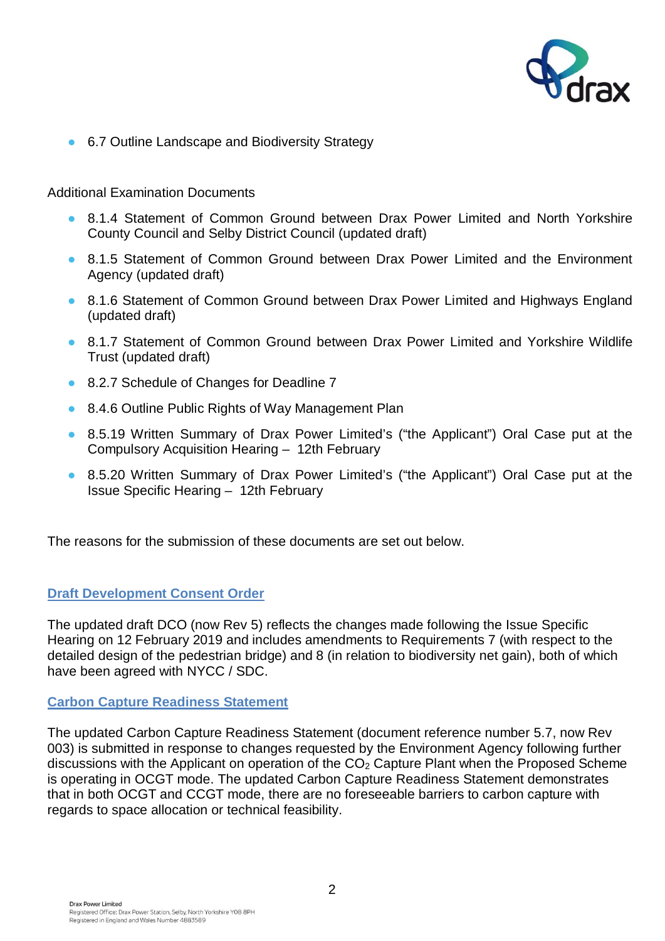

■ 6.7 Outline Landscape and Biodiversity Strategy

#### Additional Examination Documents

- **8.1.4 Statement of Common Ground between Drax Power Limited and North Yorkshire** County Council and Selby District Council (updated draft)
- **8.1.5 Statement of Common Ground between Drax Power Limited and the Environment** Agency (updated draft)
- **8.1.6 Statement of Common Ground between Drax Power Limited and Highways England** (updated draft)
- **8.1.7 Statement of Common Ground between Drax Power Limited and Yorkshire Wildlife** Trust (updated draft)
- 8.2.7 Schedule of Changes for Deadline 7
- 8.4.6 Outline Public Rights of Way Management Plan
- **•** 8.5.19 Written Summary of Drax Power Limited's ("the Applicant") Oral Case put at the Compulsory Acquisition Hearing – 12th February
- **8.5.20 Written Summary of Drax Power Limited's ("the Applicant") Oral Case put at the** Issue Specific Hearing – 12th February

The reasons for the submission of these documents are set out below.

### **Draft Development Consent Order**

The updated draft DCO (now Rev 5) reflects the changes made following the Issue Specific Hearing on 12 February 2019 and includes amendments to Requirements 7 (with respect to the detailed design of the pedestrian bridge) and 8 (in relation to biodiversity net gain), both of which have been agreed with NYCC / SDC.

#### **Carbon Capture Readiness Statement**

The updated Carbon Capture Readiness Statement (document reference number 5.7, now Rev 003) is submitted in response to changes requested by the Environment Agency following further discussions with the Applicant on operation of the CO<sub>2</sub> Capture Plant when the Proposed Scheme is operating in OCGT mode. The updated Carbon Capture Readiness Statement demonstrates that in both OCGT and CCGT mode, there are no foreseeable barriers to carbon capture with regards to space allocation or technical feasibility.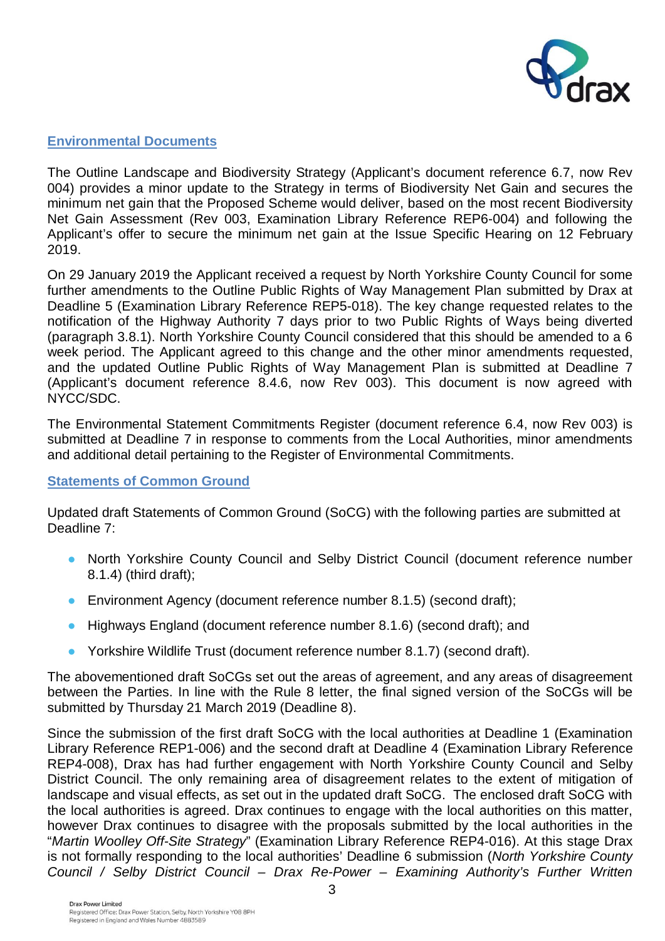

## **Environmental Documents**

The Outline Landscape and Biodiversity Strategy (Applicant's document reference 6.7, now Rev 004) provides a minor update to the Strategy in terms of Biodiversity Net Gain and secures the minimum net gain that the Proposed Scheme would deliver, based on the most recent Biodiversity Net Gain Assessment (Rev 003, Examination Library Reference REP6-004) and following the Applicant's offer to secure the minimum net gain at the Issue Specific Hearing on 12 February 2019.

On 29 January 2019 the Applicant received a request by North Yorkshire County Council for some further amendments to the Outline Public Rights of Way Management Plan submitted by Drax at Deadline 5 (Examination Library Reference REP5-018). The key change requested relates to the notification of the Highway Authority 7 days prior to two Public Rights of Ways being diverted (paragraph 3.8.1). North Yorkshire County Council considered that this should be amended to a 6 week period. The Applicant agreed to this change and the other minor amendments requested, and the updated Outline Public Rights of Way Management Plan is submitted at Deadline 7 (Applicant's document reference 8.4.6, now Rev 003). This document is now agreed with NYCC/SDC.

The Environmental Statement Commitments Register (document reference 6.4, now Rev 003) is submitted at Deadline 7 in response to comments from the Local Authorities, minor amendments and additional detail pertaining to the Register of Environmental Commitments.

### **Statements of Common Ground**

Updated draft Statements of Common Ground (SoCG) with the following parties are submitted at Deadline 7:

- භ North Yorkshire County Council and Selby District Council (document reference number 8.1.4) (third draft);
- **Environment Agency (document reference number 8.1.5) (second draft);**
- භ Highways England (document reference number 8.1.6) (second draft); and
- **•** Yorkshire Wildlife Trust (document reference number 8.1.7) (second draft).

The abovementioned draft SoCGs set out the areas of agreement, and any areas of disagreement between the Parties. In line with the Rule 8 letter, the final signed version of the SoCGs will be submitted by Thursday 21 March 2019 (Deadline 8).

Since the submission of the first draft SoCG with the local authorities at Deadline 1 (Examination Library Reference REP1-006) and the second draft at Deadline 4 (Examination Library Reference REP4-008), Drax has had further engagement with North Yorkshire County Council and Selby District Council. The only remaining area of disagreement relates to the extent of mitigation of landscape and visual effects, as set out in the updated draft SoCG. The enclosed draft SoCG with the local authorities is agreed. Drax continues to engage with the local authorities on this matter, however Drax continues to disagree with the proposals submitted by the local authorities in the "*Martin Woolley Off-Site Strategy*" (Examination Library Reference REP4-016). At this stage Drax is not formally responding to the local authorities' Deadline 6 submission (*North Yorkshire County Council / Selby District Council – Drax Re-Power – Examining Authority's Further Written*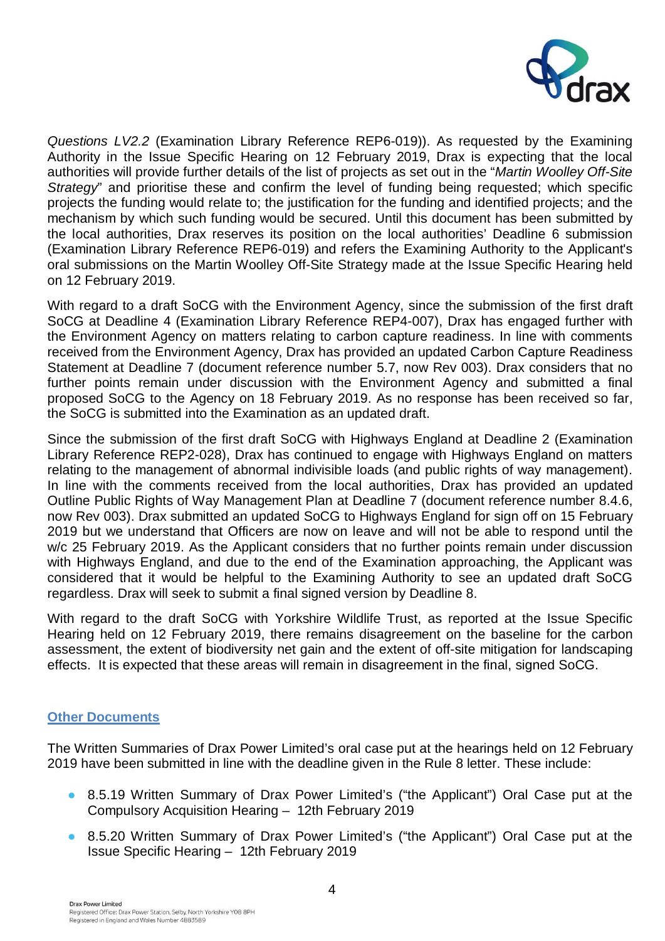

*Questions LV2.2* (Examination Library Reference REP6-019)). As requested by the Examining Authority in the Issue Specific Hearing on 12 February 2019, Drax is expecting that the local authorities will provide further details of the list of projects as set out in the "*Martin Woolley Off-Site Strategy*" and prioritise these and confirm the level of funding being requested; which specific projects the funding would relate to; the justification for the funding and identified projects; and the mechanism by which such funding would be secured. Until this document has been submitted by the local authorities, Drax reserves its position on the local authorities' Deadline 6 submission (Examination Library Reference REP6-019) and refers the Examining Authority to the Applicant's oral submissions on the Martin Woolley Off-Site Strategy made at the Issue Specific Hearing held on 12 February 2019.

With regard to a draft SoCG with the Environment Agency, since the submission of the first draft SoCG at Deadline 4 (Examination Library Reference REP4-007), Drax has engaged further with the Environment Agency on matters relating to carbon capture readiness. In line with comments received from the Environment Agency, Drax has provided an updated Carbon Capture Readiness Statement at Deadline 7 (document reference number 5.7, now Rev 003). Drax considers that no further points remain under discussion with the Environment Agency and submitted a final proposed SoCG to the Agency on 18 February 2019. As no response has been received so far, the SoCG is submitted into the Examination as an updated draft.

Since the submission of the first draft SoCG with Highways England at Deadline 2 (Examination Library Reference REP2-028), Drax has continued to engage with Highways England on matters relating to the management of abnormal indivisible loads (and public rights of way management). In line with the comments received from the local authorities, Drax has provided an updated Outline Public Rights of Way Management Plan at Deadline 7 (document reference number 8.4.6, now Rev 003). Drax submitted an updated SoCG to Highways England for sign off on 15 February 2019 but we understand that Officers are now on leave and will not be able to respond until the w/c 25 February 2019. As the Applicant considers that no further points remain under discussion with Highways England, and due to the end of the Examination approaching, the Applicant was considered that it would be helpful to the Examining Authority to see an updated draft SoCG regardless. Drax will seek to submit a final signed version by Deadline 8.

With regard to the draft SoCG with Yorkshire Wildlife Trust, as reported at the Issue Specific Hearing held on 12 February 2019, there remains disagreement on the baseline for the carbon assessment, the extent of biodiversity net gain and the extent of off-site mitigation for landscaping effects. It is expected that these areas will remain in disagreement in the final, signed SoCG.

### **Other Documents**

The Written Summaries of Drax Power Limited's oral case put at the hearings held on 12 February 2019 have been submitted in line with the deadline given in the Rule 8 letter. These include:

- **•** 8.5.19 Written Summary of Drax Power Limited's ("the Applicant") Oral Case put at the Compulsory Acquisition Hearing – 12th February 2019
- **•** 8.5.20 Written Summary of Drax Power Limited's ("the Applicant") Oral Case put at the Issue Specific Hearing – 12th February 2019